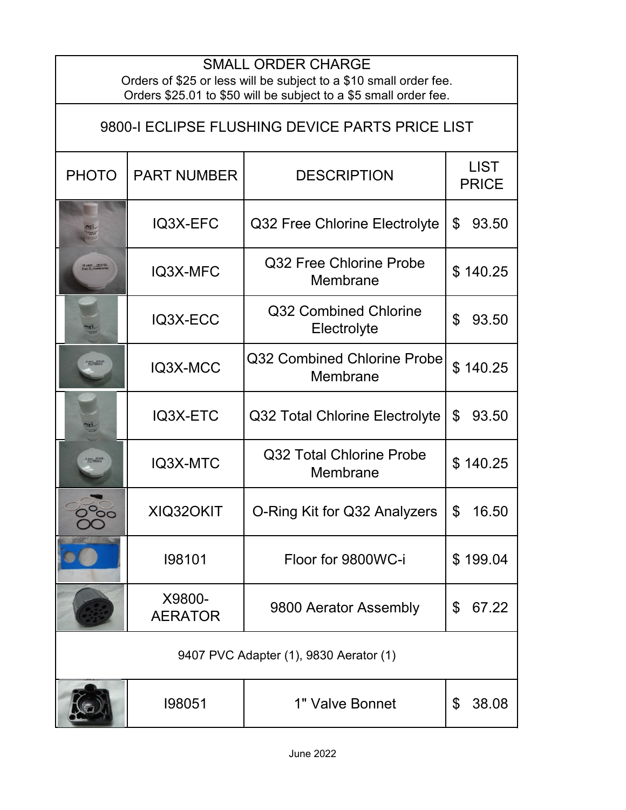| <b>SMALL ORDER CHARGE</b><br>Orders of \$25 or less will be subject to a \$10 small order fee.<br>Orders \$25.01 to \$50 will be subject to a \$5 small order fee. |                          |                                         |                             |  |  |
|--------------------------------------------------------------------------------------------------------------------------------------------------------------------|--------------------------|-----------------------------------------|-----------------------------|--|--|
| 9800-I ECLIPSE FLUSHING DEVICE PARTS PRICE LIST                                                                                                                    |                          |                                         |                             |  |  |
| <b>PHOTO</b>                                                                                                                                                       | <b>PART NUMBER</b>       | <b>DESCRIPTION</b>                      | <b>LIST</b><br><b>PRICE</b> |  |  |
|                                                                                                                                                                    | IQ3X-EFC                 | Q32 Free Chlorine Electrolyte           | \$<br>93.50                 |  |  |
|                                                                                                                                                                    | IQ3X-MFC                 | Q32 Free Chlorine Probe<br>Membrane     | \$140.25                    |  |  |
|                                                                                                                                                                    | IQ3X-ECC                 | Q32 Combined Chlorine<br>Electrolyte    | \$<br>93.50                 |  |  |
|                                                                                                                                                                    | IQ3X-MCC                 | Q32 Combined Chlorine Probe<br>Membrane | \$140.25                    |  |  |
|                                                                                                                                                                    | IQ3X-ETC                 | Q32 Total Chlorine Electrolyte          | \$<br>93.50                 |  |  |
|                                                                                                                                                                    | IQ3X-MTC                 | Q32 Total Chlorine Probe<br>Membrane    | \$140.25                    |  |  |
| ○○                                                                                                                                                                 | XIQ320KIT                | O-Ring Kit for Q32 Analyzers            | \$<br>16.50                 |  |  |
|                                                                                                                                                                    | 198101                   | Floor for 9800WC-i                      | \$199.04                    |  |  |
|                                                                                                                                                                    | X9800-<br><b>AERATOR</b> | 9800 Aerator Assembly                   | 67.22<br>\$                 |  |  |
| 9407 PVC Adapter (1), 9830 Aerator (1)                                                                                                                             |                          |                                         |                             |  |  |
|                                                                                                                                                                    | 198051                   | 1" Valve Bonnet                         | \$<br>38.08                 |  |  |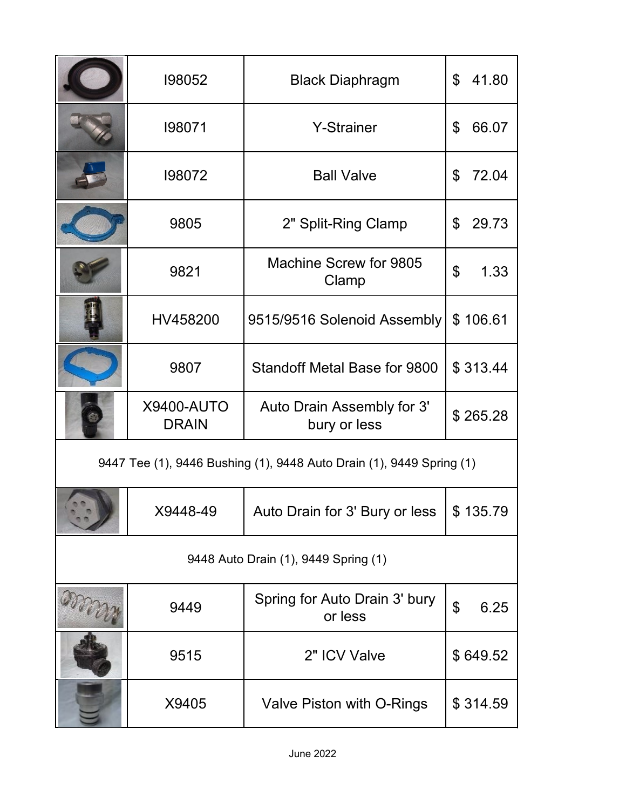|                                                                      | 198052                            | <b>Black Diaphragm</b>                     | 41.80<br>\$            |  |
|----------------------------------------------------------------------|-----------------------------------|--------------------------------------------|------------------------|--|
|                                                                      | 198071                            | <b>Y-Strainer</b>                          | \$<br>66.07            |  |
|                                                                      | 198072                            | <b>Ball Valve</b>                          | 72.04<br>\$            |  |
|                                                                      | 9805                              | 2" Split-Ring Clamp                        | 29.73<br>\$            |  |
|                                                                      | 9821                              | Machine Screw for 9805<br>Clamp            | \$<br>1.33             |  |
|                                                                      | HV458200                          | 9515/9516 Solenoid Assembly                | \$106.61               |  |
|                                                                      | 9807                              | Standoff Metal Base for 9800               | \$313.44               |  |
|                                                                      | <b>X9400-AUTO</b><br><b>DRAIN</b> | Auto Drain Assembly for 3'<br>bury or less | \$265.28               |  |
| 9447 Tee (1), 9446 Bushing (1), 9448 Auto Drain (1), 9449 Spring (1) |                                   |                                            |                        |  |
|                                                                      | X9448-49                          | Auto Drain for 3' Bury or less             | \$135.79               |  |
| 9448 Auto Drain (1), 9449 Spring (1)                                 |                                   |                                            |                        |  |
|                                                                      | 9449                              | Spring for Auto Drain 3' bury<br>or less   | $\mathfrak{S}$<br>6.25 |  |
|                                                                      | 9515                              | 2" ICV Valve                               | \$649.52               |  |
|                                                                      | X9405                             | Valve Piston with O-Rings                  | \$314.59               |  |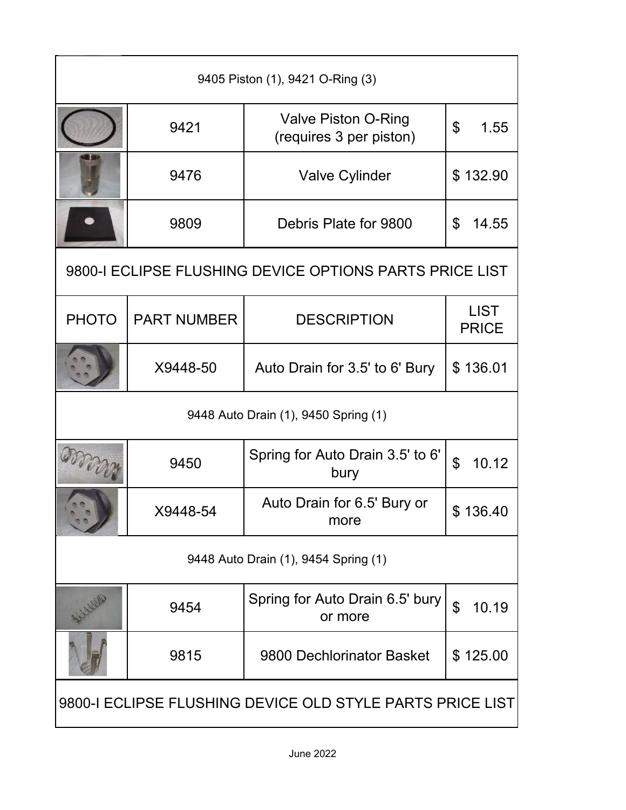| 9405 Piston (1), 9421 O-Ring (3)                          |                    |                                                       |                             |  |  |
|-----------------------------------------------------------|--------------------|-------------------------------------------------------|-----------------------------|--|--|
|                                                           | 9421               | <b>Valve Piston O-Ring</b><br>(requires 3 per piston) | \$<br>1.55                  |  |  |
|                                                           | 9476               | <b>Valve Cylinder</b>                                 | \$132.90                    |  |  |
|                                                           | 9809               | Debris Plate for 9800                                 | 14.55<br>\$                 |  |  |
| 9800-I ECLIPSE FLUSHING DEVICE OPTIONS PARTS PRICE LIST   |                    |                                                       |                             |  |  |
| <b>PHOTO</b>                                              | <b>PART NUMBER</b> | <b>DESCRIPTION</b>                                    | <b>LIST</b><br><b>PRICE</b> |  |  |
|                                                           | X9448-50           | Auto Drain for 3.5' to 6' Bury                        | \$136.01                    |  |  |
| 9448 Auto Drain (1), 9450 Spring (1)                      |                    |                                                       |                             |  |  |
|                                                           | 9450               | Spring for Auto Drain 3.5' to 6'<br>bury              | $\mathfrak{P}$<br>10.12     |  |  |
|                                                           | X9448-54           | Auto Drain for 6.5' Bury or<br>more                   | \$136.40                    |  |  |
| 9448 Auto Drain (1), 9454 Spring (1)                      |                    |                                                       |                             |  |  |
|                                                           | 9454               | Spring for Auto Drain 6.5' bury<br>or more            | $\mathfrak{L}$<br>10.19     |  |  |
|                                                           | 9815               | 9800 Dechlorinator Basket                             | \$125.00                    |  |  |
| 9800-I ECLIPSE FLUSHING DEVICE OLD STYLE PARTS PRICE LIST |                    |                                                       |                             |  |  |